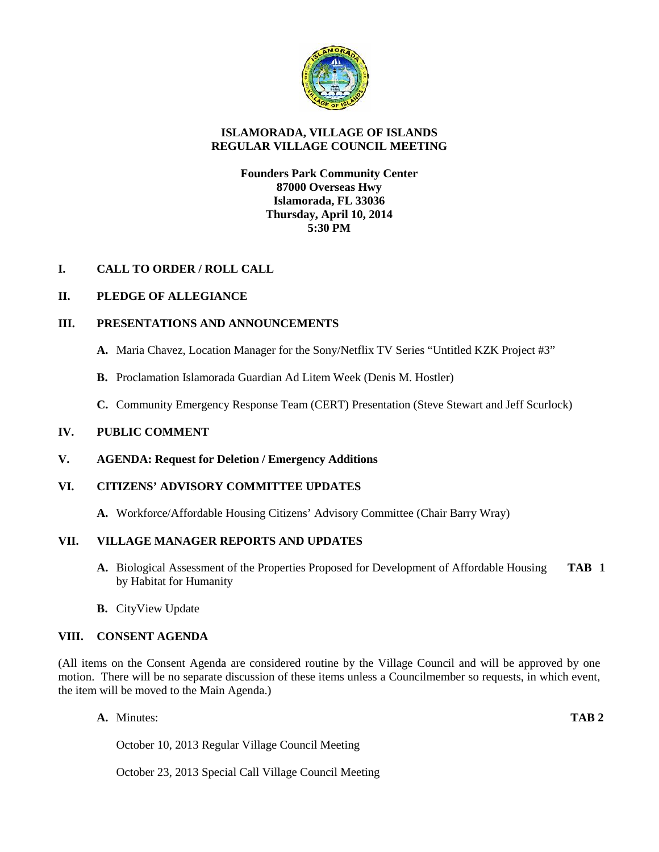

## **ISLAMORADA, VILLAGE OF ISLANDS REGULAR VILLAGE COUNCIL MEETING**

### **Founders Park Community Center 87000 Overseas Hwy Islamorada, FL 33036 Thursday, April 10, 2014 5:30 PM**

## **I. CALL TO ORDER / ROLL CALL**

## **II. PLEDGE OF ALLEGIANCE**

### **III. PRESENTATIONS AND ANNOUNCEMENTS**

- **A.** Maria Chavez, Location Manager for the Sony/Netflix TV Series "Untitled KZK Project #3"
- **B.** Proclamation Islamorada Guardian Ad Litem Week (Denis M. Hostler)
- **C.** Community Emergency Response Team (CERT) Presentation (Steve Stewart and Jeff Scurlock)

### **IV. PUBLIC COMMENT**

**V. AGENDA: Request for Deletion / Emergency Additions**

### **VI. CITIZENS' ADVISORY COMMITTEE UPDATES**

**A.** Workforce/Affordable Housing Citizens' Advisory Committee (Chair Barry Wray)

## **VII. VILLAGE MANAGER REPORTS AND UPDATES**

- **A.** Biological Assessment of the Properties Proposed for Development of Affordable Housing **TAB 1** by Habitat for Humanity
- **B.** CityView Update

### **VIII. CONSENT AGENDA**

(All items on the Consent Agenda are considered routine by the Village Council and will be approved by one motion. There will be no separate discussion of these items unless a Councilmember so requests, in which event, the item will be moved to the Main Agenda.)

**A.** Minutes: **TAB 2**

October 10, 2013 Regular Village Council Meeting

October 23, 2013 Special Call Village Council Meeting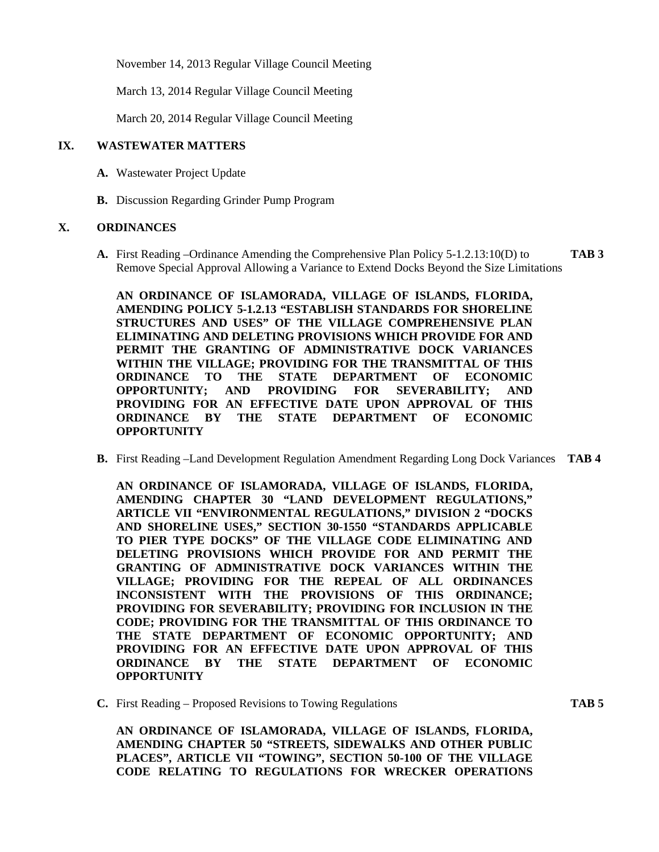November 14, 2013 Regular Village Council Meeting

March 13, 2014 Regular Village Council Meeting

March 20, 2014 Regular Village Council Meeting

#### **IX. WASTEWATER MATTERS**

- **A.** Wastewater Project Update
- **B.** Discussion Regarding Grinder Pump Program

#### **X. ORDINANCES**

**A.** First Reading –Ordinance Amending the Comprehensive Plan Policy 5-1.2.13:10(D) to **TAB 3** Remove Special Approval Allowing a Variance to Extend Docks Beyond the Size Limitations

**AN ORDINANCE OF ISLAMORADA, VILLAGE OF ISLANDS, FLORIDA, AMENDING POLICY 5-1.2.13 "ESTABLISH STANDARDS FOR SHORELINE STRUCTURES AND USES" OF THE VILLAGE COMPREHENSIVE PLAN ELIMINATING AND DELETING PROVISIONS WHICH PROVIDE FOR AND PERMIT THE GRANTING OF ADMINISTRATIVE DOCK VARIANCES WITHIN THE VILLAGE; PROVIDING FOR THE TRANSMITTAL OF THIS ORDINANCE TO THE STATE DEPARTMENT OF ECONOMIC OPPORTUNITY; AND PROVIDING FOR SEVERABILITY; AND PROVIDING FOR AN EFFECTIVE DATE UPON APPROVAL OF THIS ORDINANCE BY THE STATE DEPARTMENT OF ECONOMIC OPPORTUNITY**

**B.** First Reading –Land Development Regulation Amendment Regarding Long Dock Variances **TAB 4**

**AN ORDINANCE OF ISLAMORADA, VILLAGE OF ISLANDS, FLORIDA, AMENDING CHAPTER 30 "LAND DEVELOPMENT REGULATIONS," ARTICLE VII "ENVIRONMENTAL REGULATIONS," DIVISION 2 "DOCKS AND SHORELINE USES," SECTION 30-1550 "STANDARDS APPLICABLE TO PIER TYPE DOCKS" OF THE VILLAGE CODE ELIMINATING AND DELETING PROVISIONS WHICH PROVIDE FOR AND PERMIT THE GRANTING OF ADMINISTRATIVE DOCK VARIANCES WITHIN THE VILLAGE; PROVIDING FOR THE REPEAL OF ALL ORDINANCES INCONSISTENT WITH THE PROVISIONS OF THIS ORDINANCE; PROVIDING FOR SEVERABILITY; PROVIDING FOR INCLUSION IN THE CODE; PROVIDING FOR THE TRANSMITTAL OF THIS ORDINANCE TO THE STATE DEPARTMENT OF ECONOMIC OPPORTUNITY; AND PROVIDING FOR AN EFFECTIVE DATE UPON APPROVAL OF THIS ORDINANCE BY THE STATE DEPARTMENT OF ECONOMIC OPPORTUNITY**

**C.** First Reading – Proposed Revisions to Towing Regulations **TAB 5**

**AN ORDINANCE OF ISLAMORADA, VILLAGE OF ISLANDS, FLORIDA, AMENDING CHAPTER 50 "STREETS, SIDEWALKS AND OTHER PUBLIC PLACES", ARTICLE VII "TOWING", SECTION 50-100 OF THE VILLAGE CODE RELATING TO REGULATIONS FOR WRECKER OPERATIONS**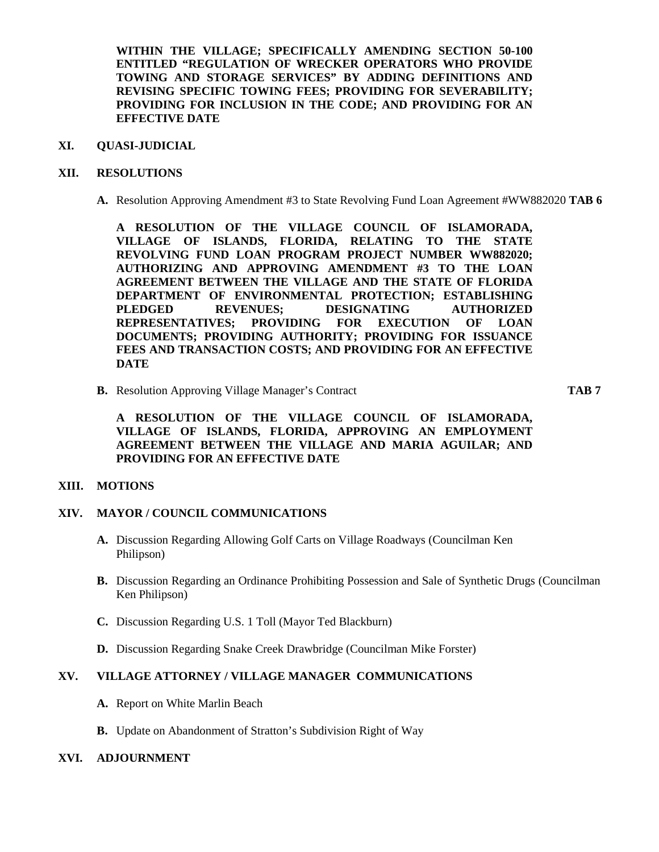**WITHIN THE VILLAGE; SPECIFICALLY AMENDING SECTION 50-100 ENTITLED "REGULATION OF WRECKER OPERATORS WHO PROVIDE TOWING AND STORAGE SERVICES" BY ADDING DEFINITIONS AND REVISING SPECIFIC TOWING FEES; PROVIDING FOR SEVERABILITY; PROVIDING FOR INCLUSION IN THE CODE; AND PROVIDING FOR AN EFFECTIVE DATE**

### **XI. QUASI-JUDICIAL**

#### **XII. RESOLUTIONS**

**A.** Resolution Approving Amendment #3 to State Revolving Fund Loan Agreement #WW882020 **TAB 6**

**A RESOLUTION OF THE VILLAGE COUNCIL OF ISLAMORADA, VILLAGE OF ISLANDS, FLORIDA, RELATING TO THE STATE REVOLVING FUND LOAN PROGRAM PROJECT NUMBER WW882020; AUTHORIZING AND APPROVING AMENDMENT #3 TO THE LOAN AGREEMENT BETWEEN THE VILLAGE AND THE STATE OF FLORIDA DEPARTMENT OF ENVIRONMENTAL PROTECTION; ESTABLISHING PLEDGED REVENUES; DESIGNATING AUTHORIZED REPRESENTATIVES; PROVIDING FOR EXECUTION OF LOAN DOCUMENTS; PROVIDING AUTHORITY; PROVIDING FOR ISSUANCE FEES AND TRANSACTION COSTS; AND PROVIDING FOR AN EFFECTIVE DATE**

**B.** Resolution Approving Village Manager's Contract **TAB 7**

**A RESOLUTION OF THE VILLAGE COUNCIL OF ISLAMORADA, VILLAGE OF ISLANDS, FLORIDA, APPROVING AN EMPLOYMENT AGREEMENT BETWEEN THE VILLAGE AND MARIA AGUILAR; AND PROVIDING FOR AN EFFECTIVE DATE**

# **XIII. MOTIONS**

#### **XIV. MAYOR / COUNCIL COMMUNICATIONS**

- **A.** Discussion Regarding Allowing Golf Carts on Village Roadways (Councilman Ken Philipson)
- **B.** Discussion Regarding an Ordinance Prohibiting Possession and Sale of Synthetic Drugs (Councilman Ken Philipson)
- **C.** Discussion Regarding U.S. 1 Toll (Mayor Ted Blackburn)
- **D.** Discussion Regarding Snake Creek Drawbridge (Councilman Mike Forster)

#### **XV. VILLAGE ATTORNEY / VILLAGE MANAGER COMMUNICATIONS**

- **A.** Report on White Marlin Beach
- **B.** Update on Abandonment of Stratton's Subdivision Right of Way

#### **XVI. ADJOURNMENT**